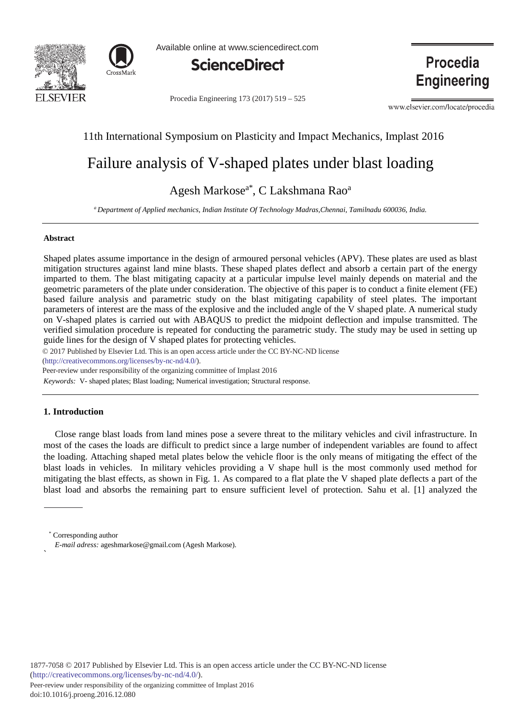



Available online at www.sciencedirect.com



Procedia Engineering 173 (2017) 519 - 525

**Procedia Engineering** 

www.elsevier.com/locate/procedia

# 11th International Symposium on Plasticity and Impact Mechanics, Implast 2016

# Failure analysis of V-shaped plates under blast loading

# Agesh Markose<sup>a\*</sup>, C Lakshmana Rao<sup>a</sup>

*a Department of Applied mechanics, Indian Institute Of Technology Madras,Chennai, Tamilnadu 600036, India.* 

## **Abstract**

Shaped plates assume importance in the design of armoured personal vehicles (APV). These plates are used as blast mitigation structures against land mine blasts. These shaped plates deflect and absorb a certain part of the energy imparted to them. The blast mitigating capacity at a particular impulse level mainly depends on material and the geometric parameters of the plate under consideration. The objective of this paper is to conduct a finite element (FE) based failure analysis and parametric study on the blast mitigating capability of steel plates. The important parameters of interest are the mass of the explosive and the included angle of the V shaped plate. A numerical study on V-shaped plates is carried out with ABAQUS to predict the midpoint deflection and impulse transmitted. The verified simulation procedure is repeated for conducting the parametric study. The study may be used in setting up guide lines for the design of V shaped plates for protecting vehicles.

© 2017 Published by Elsevier Ltd. This is an open access article under the CC BY-NC-ND license

(http://creativecommons.org/licenses/by-nc-nd/4.0/).

Peer-review under responsibility of the organizing committee of Implast 2016

*Keywords:* V- shaped plates; Blast loading; Numerical investigation; Structural response.

# **1. Introduction**

 $\ddot{\phantom{0}}$ 

Close range blast loads from land mines pose a severe threat to the military vehicles and civil infrastructure. In most of the cases the loads are difficult to predict since a large number of independent variables are found to affect the loading. Attaching shaped metal plates below the vehicle floor is the only means of mitigating the effect of the blast loads in vehicles. In military vehicles providing a V shape hull is the most commonly used method for mitigating the blast effects, as shown in Fig. 1. As compared to a flat plate the V shaped plate deflects a part of the blast load and absorbs the remaining part to ensure sufficient level of protection. Sahu et al. [1] analyzed the

Corresponding author *E-mail adress:* ageshmarkose@gmail.com (Agesh Markose).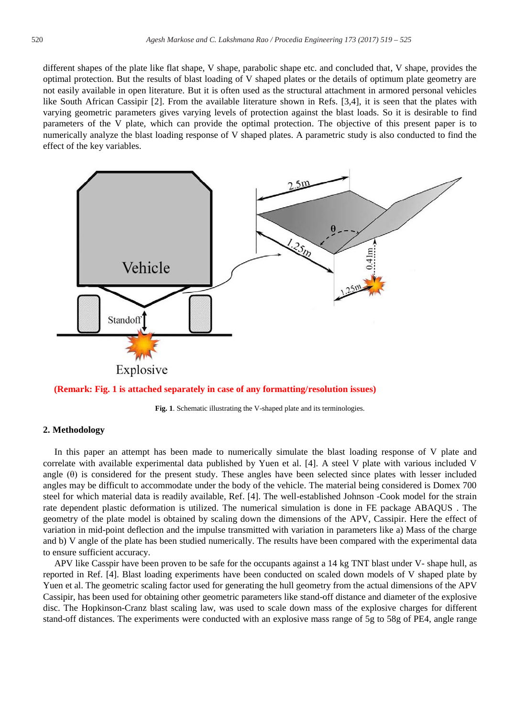different shapes of the plate like flat shape, V shape, parabolic shape etc. and concluded that, V shape, provides the optimal protection. But the results of blast loading of V shaped plates or the details of optimum plate geometry are not easily available in open literature. But it is often used as the structural attachment in armored personal vehicles like South African Cassipir [2]. From the available literature shown in Refs. [3,4], it is seen that the plates with varying geometric parameters gives varying levels of protection against the blast loads. So it is desirable to find parameters of the V plate, which can provide the optimal protection. The objective of this present paper is to numerically analyze the blast loading response of V shaped plates. A parametric study is also conducted to find the effect of the key variables.



**(Remark: Fig. 1 is attached separately in case of any formatting/resolution issues)**

**Fig. 1**. Schematic illustrating the V-shaped plate and its terminologies.

# **2. Methodology**

In this paper an attempt has been made to numerically simulate the blast loading response of V plate and correlate with available experimental data published by Yuen et al. [4]. A steel V plate with various included V angle (θ) is considered for the present study. These angles have been selected since plates with lesser included angles may be difficult to accommodate under the body of the vehicle. The material being considered is Domex 700 steel for which material data is readily available, Ref. [4]. The well-established Johnson -Cook model for the strain rate dependent plastic deformation is utilized. The numerical simulation is done in FE package ABAQUS . The geometry of the plate model is obtained by scaling down the dimensions of the APV, Cassipir. Here the effect of variation in mid-point deflection and the impulse transmitted with variation in parameters like a) Mass of the charge and b) V angle of the plate has been studied numerically. The results have been compared with the experimental data to ensure sufficient accuracy.

APV like Casspir have been proven to be safe for the occupants against a 14 kg TNT blast under V- shape hull, as reported in Ref. [4]. Blast loading experiments have been conducted on scaled down models of V shaped plate by Yuen et al. The geometric scaling factor used for generating the hull geometry from the actual dimensions of the APV Cassipir, has been used for obtaining other geometric parameters like stand-off distance and diameter of the explosive disc. The Hopkinson-Cranz blast scaling law, was used to scale down mass of the explosive charges for different stand-off distances. The experiments were conducted with an explosive mass range of 5g to 58g of PE4, angle range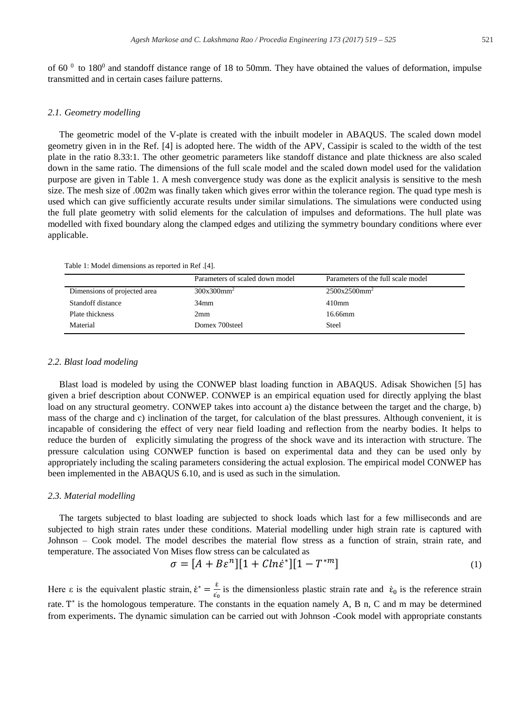of 60  $^{0}$  to 180<sup>0</sup> and standoff distance range of 18 to 50mm. They have obtained the values of deformation, impulse transmitted and in certain cases failure patterns.

#### *2.1. Geometry modelling*

The geometric model of the V-plate is created with the inbuilt modeler in ABAQUS. The scaled down model geometry given in in the Ref. [4] is adopted here. The width of the APV, Cassipir is scaled to the width of the test plate in the ratio 8.33:1. The other geometric parameters like standoff distance and plate thickness are also scaled down in the same ratio. The dimensions of the full scale model and the scaled down model used for the validation purpose are given in Table 1. A mesh convergence study was done as the explicit analysis is sensitive to the mesh size. The mesh size of .002m was finally taken which gives error within the tolerance region. The quad type mesh is used which can give sufficiently accurate results under similar simulations. The simulations were conducted using the full plate geometry with solid elements for the calculation of impulses and deformations. The hull plate was modelled with fixed boundary along the clamped edges and utilizing the symmetry boundary conditions where ever applicable.

| Table 1: Model dimensions as reported in Ref. [4]. |  |  |  |  |
|----------------------------------------------------|--|--|--|--|
|----------------------------------------------------|--|--|--|--|

|                              | Parameters of scaled down model | Parameters of the full scale model |
|------------------------------|---------------------------------|------------------------------------|
| Dimensions of projected area | $300x300mm^2$                   | $2500x2500mm^2$                    |
| Standoff distance            | 34 <sub>mm</sub>                | $410$ mm                           |
| Plate thickness              | 2mm                             | 16.66mm                            |
| Material                     | Domex 700steel                  | Steel                              |

#### *2.2. Blast load modeling*

Blast load is modeled by using the CONWEP blast loading function in ABAQUS. Adisak Showichen [5] has given a brief description about CONWEP. CONWEP is an empirical equation used for directly applying the blast load on any structural geometry. CONWEP takes into account a) the distance between the target and the charge, b) mass of the charge and c) inclination of the target, for calculation of the blast pressures. Although convenient, it is incapable of considering the effect of very near field loading and reflection from the nearby bodies. It helps to reduce the burden of explicitly simulating the progress of the shock wave and its interaction with structure. The pressure calculation using CONWEP function is based on experimental data and they can be used only by appropriately including the scaling parameters considering the actual explosion. The empirical model CONWEP has been implemented in the ABAQUS 6.10, and is used as such in the simulation.

#### *2.3. Material modelling*

The targets subjected to blast loading are subjected to shock loads which last for a few milliseconds and are subjected to high strain rates under these conditions. Material modelling under high strain rate is captured with Johnson – Cook model. The model describes the material flow stress as a function of strain, strain rate, and temperature. The associated Von Mises flow stress can be calculated as

$$
\sigma = [A + B\varepsilon^n][1 + Cln\varepsilon^*][1 - T^{*m}] \tag{1}
$$

Here  $\varepsilon$  is the equivalent plastic strain,  $\dot{\varepsilon}^* = \frac{\varepsilon}{\varepsilon_0}$  is the dimensionless plastic strain rate and  $\varepsilon_0$  is the reference strain rate.  $T^*$  is the homologous temperature. The constants in the equation namely A, B n, C and m may be determined from experiments. The dynamic simulation can be carried out with Johnson -Cook model with appropriate constants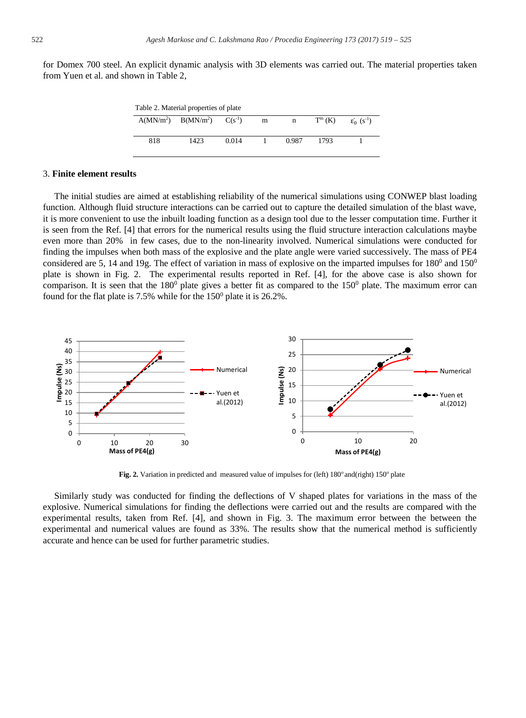for Domex 700 steel. An explicit dynamic analysis with 3D elements was carried out. The material properties taken from Yuen et al. and shown in Table 2,

| Table 2. Material properties of plate |                       |             |   |       |           |                            |  |  |
|---------------------------------------|-----------------------|-------------|---|-------|-----------|----------------------------|--|--|
|                                       | $A(MN/m2)$ $B(MN/m2)$ | $C(s^{-1})$ | m | n     | $T^m$ (K) | $\mathcal{E}_0$ $(S^{-1})$ |  |  |
|                                       |                       |             |   |       |           |                            |  |  |
| 818                                   | 1423                  | 0.014       |   | 0.987 | 1793      |                            |  |  |
|                                       |                       |             |   |       |           |                            |  |  |

## 3. **Finite element results**

The initial studies are aimed at establishing reliability of the numerical simulations using CONWEP blast loading function. Although fluid structure interactions can be carried out to capture the detailed simulation of the blast wave, it is more convenient to use the inbuilt loading function as a design tool due to the lesser computation time. Further it is seen from the Ref. [4] that errors for the numerical results using the fluid structure interaction calculations maybe even more than 20% in few cases, due to the non-linearity involved. Numerical simulations were conducted for finding the impulses when both mass of the explosive and the plate angle were varied successively. The mass of PE4 considered are 5, 14 and 19g. The effect of variation in mass of explosive on the imparted impulses for  $180^{\circ}$  and  $150^{\circ}$ plate is shown in Fig. 2. The experimental results reported in Ref. [4], for the above case is also shown for comparison. It is seen that the  $180^0$  plate gives a better fit as compared to the  $150^0$  plate. The maximum error can found for the flat plate is 7.5% while for the  $150<sup>0</sup>$  plate it is 26.2%.



**Fig. 2.** Variation in predicted and measured value of impulses for (left) 180<sup>o</sup> and(right) 150<sup>o</sup> plate

Similarly study was conducted for finding the deflections of V shaped plates for variations in the mass of the explosive. Numerical simulations for finding the deflections were carried out and the results are compared with the experimental results, taken from Ref. [4], and shown in Fig. 3. The maximum error between the between the experimental and numerical values are found as 33%. The results show that the numerical method is sufficiently accurate and hence can be used for further parametric studies.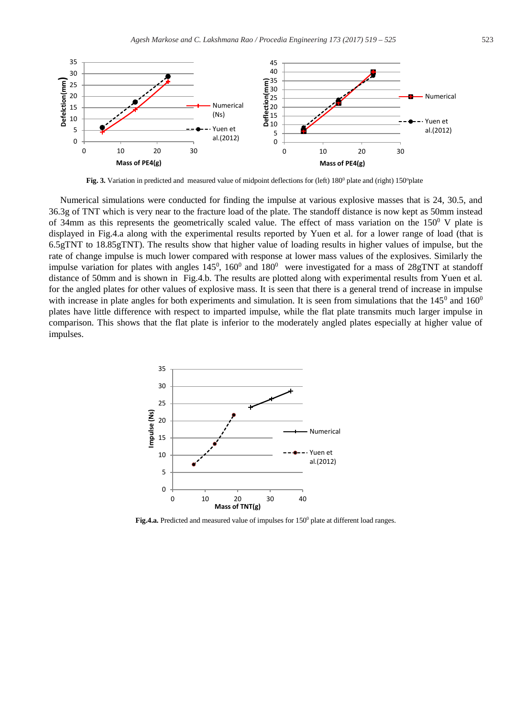

Fig. 3. Variation in predicted and measured value of midpoint deflections for (left) 180<sup>0</sup> plate and (right) 150<sup>o</sup>plate

Numerical simulations were conducted for finding the impulse at various explosive masses that is 24, 30.5, and 36.3g of TNT which is very near to the fracture load of the plate. The standoff distance is now kept as 50mm instead of 34mm as this represents the geometrically scaled value. The effect of mass variation on the  $150^{\circ}$  V plate is displayed in Fig.4.a along with the experimental results reported by Yuen et al. for a lower range of load (that is 6.5gTNT to 18.85gTNT). The results show that higher value of loading results in higher values of impulse, but the rate of change impulse is much lower compared with response at lower mass values of the explosives. Similarly the impulse variation for plates with angles  $145^0$ ,  $160^0$  and  $180^0$  were investigated for a mass of 28gTNT at standoff distance of 50mm and is shown in Fig.4.b. The results are plotted along with experimental results from Yuen et al. for the angled plates for other values of explosive mass. It is seen that there is a general trend of increase in impulse with increase in plate angles for both experiments and simulation. It is seen from simulations that the  $145^{\circ}$  and  $160^{\circ}$ plates have little difference with respect to imparted impulse, while the flat plate transmits much larger impulse in comparison. This shows that the flat plate is inferior to the moderately angled plates especially at higher value of impulses.



Fig.4.a. Predicted and measured value of impulses for  $150<sup>0</sup>$  plate at different load ranges.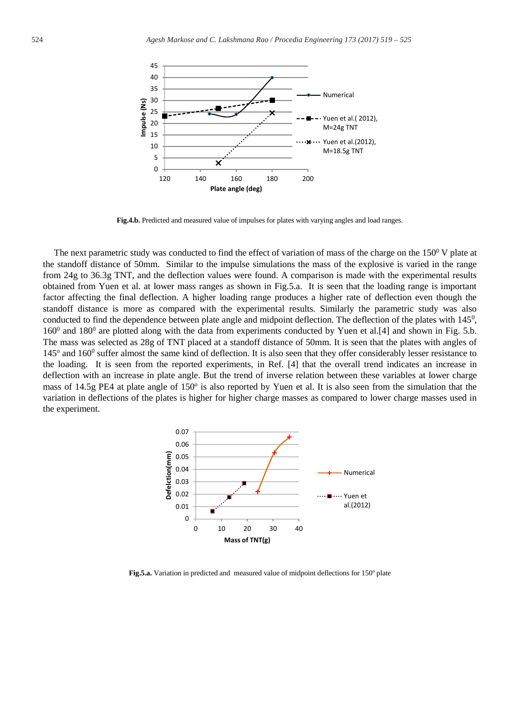

**Fig.4.b.** Predicted and measured value of impulses for plates with varying angles and load ranges.

The next parametric study was conducted to find the effect of variation of mass of the charge on the  $150^{\circ}$  V plate at the standoff distance of 50mm. Similar to the impulse simulations the mass of the explosive is varied in the range from 24g to 36.3g TNT, and the deflection values were found. A comparison is made with the experimental results obtained from Yuen et al. at lower mass ranges as shown in Fig.5.a. It is seen that the loading range is important factor affecting the final deflection. A higher loading range produces a higher rate of deflection even though the standoff distance is more as compared with the experimental results. Similarly the parametric study was also conducted to find the dependence between plate angle and midpoint deflection. The deflection of the plates with  $145<sup>0</sup>$ ,  $160^0$  and  $180^0$  are plotted along with the data from experiments conducted by Yuen et al.[4] and shown in Fig. 5.b. The mass was selected as 28g of TNT placed at a standoff distance of 50mm. It is seen that the plates with angles of  $145^\circ$  and  $160^\circ$  suffer almost the same kind of deflection. It is also seen that they offer considerably lesser resistance to the loading. It is seen from the reported experiments, in Ref. [4] that the overall trend indicates an increase in deflection with an increase in plate angle. But the trend of inverse relation between these variables at lower charge mass of 14.5g PE4 at plate angle of  $150^\circ$  is also reported by Yuen et al. It is also seen from the simulation that the variation in deflections of the plates is higher for higher charge masses as compared to lower charge masses used in the experiment.



**Fig.5.a.** Variation in predicted and measured value of midpoint deflections for 150<sup>o</sup> plate